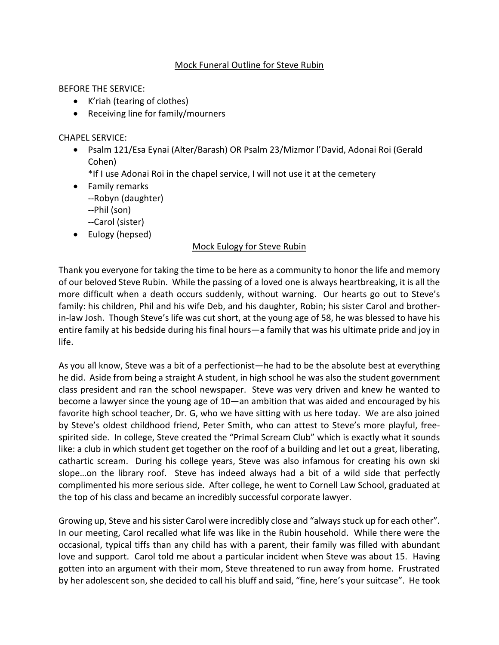## Mock Funeral Outline for Steve Rubin

BEFORE THE SERVICE:

- K'riah (tearing of clothes)
- Receiving line for family/mourners

CHAPEL SERVICE:

- Psalm 121/Esa Eynai (Alter/Barash) OR Psalm 23/Mizmor l'David, Adonai Roi (Gerald Cohen)
	- \*If I use Adonai Roi in the chapel service, I will not use it at the cemetery
- Family remarks --Robyn (daughter) --Phil (son) --Carol (sister)
- Eulogy (hepsed)

## Mock Eulogy for Steve Rubin

Thank you everyone for taking the time to be here as a community to honor the life and memory of our beloved Steve Rubin. While the passing of a loved one is always heartbreaking, it is all the more difficult when a death occurs suddenly, without warning. Our hearts go out to Steve's family: his children, Phil and his wife Deb, and his daughter, Robin; his sister Carol and brotherin-law Josh. Though Steve's life was cut short, at the young age of 58, he was blessed to have his entire family at his bedside during his final hours—a family that was his ultimate pride and joy in life.

As you all know, Steve was a bit of a perfectionist—he had to be the absolute best at everything he did. Aside from being a straight A student, in high school he was also the student government class president and ran the school newspaper. Steve was very driven and knew he wanted to become a lawyer since the young age of 10—an ambition that was aided and encouraged by his favorite high school teacher, Dr. G, who we have sitting with us here today. We are also joined by Steve's oldest childhood friend, Peter Smith, who can attest to Steve's more playful, freespirited side. In college, Steve created the "Primal Scream Club" which is exactly what it sounds like: a club in which student get together on the roof of a building and let out a great, liberating, cathartic scream. During his college years, Steve was also infamous for creating his own ski slope…on the library roof. Steve has indeed always had a bit of a wild side that perfectly complimented his more serious side. After college, he went to Cornell Law School, graduated at the top of his class and became an incredibly successful corporate lawyer.

Growing up, Steve and his sister Carol were incredibly close and "always stuck up for each other". In our meeting, Carol recalled what life was like in the Rubin household. While there were the occasional, typical tiffs than any child has with a parent, their family was filled with abundant love and support. Carol told me about a particular incident when Steve was about 15. Having gotten into an argument with their mom, Steve threatened to run away from home. Frustrated by her adolescent son, she decided to call his bluff and said, "fine, here's your suitcase". He took